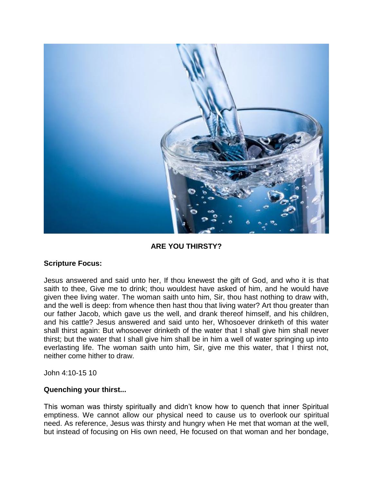

## **ARE YOU THIRSTY?**

## **Scripture Focus:**

Jesus answered and said unto her, If thou knewest the gift of God, and who it is that saith to thee, Give me to drink; thou wouldest have asked of him, and he would have given thee living water. The woman saith unto him, Sir, thou hast nothing to draw with, and the well is deep: from whence then hast thou that living water? Art thou greater than our father Jacob, which gave us the well, and drank thereof himself, and his children, and his cattle? Jesus answered and said unto her, Whosoever drinketh of this water shall thirst again: But whosoever drinketh of the water that I shall give him shall never thirst; but the water that I shall give him shall be in him a well of water springing up into everlasting life. The woman saith unto him, Sir, give me this water, that I thirst not, neither come hither to draw.

John 4:10-15 10

## **Quenching your thirst...**

This woman was thirsty spiritually and didn't know how to quench that inner Spiritual emptiness. We cannot allow our physical need to cause us to overlook our spiritual need. As reference, Jesus was thirsty and hungry when He met that woman at the well, but instead of focusing on His own need, He focused on that woman and her bondage,